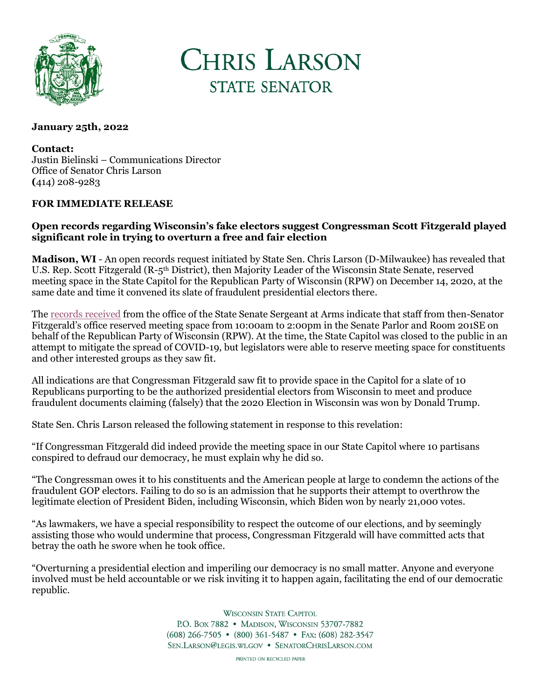



## **January 25th, 2022**

**Contact:** Justin Bielinski – Communications Director Office of Senator Chris Larson **(**414) 208-9283

## **FOR IMMEDIATE RELEASE**

## **Open records regarding Wisconsin's fake electors suggest Congressman Scott Fitzgerald played significant role in trying to overturn a free and fair election**

**Madison, WI** - An open records request initiated by State Sen. Chris Larson (D-Milwaukee) has revealed that U.S. Rep. Scott Fitzgerald (R-5<sup>th</sup> District), then Majority Leader of the Wisconsin State Senate, reserved meeting space in the State Capitol for the Republican Party of Wisconsin (RPW) on December 14, 2020, at the same date and time it convened its slate of fraudulent presidential electors there.

The [records received](https://legis.wisconsin.gov/senate/07/Larson/media/2052/12-14-20-open-records-request-results-short.pdf) from the office of the State Senate Sergeant at Arms indicate that staff from then-Senator Fitzgerald's office reserved meeting space from 10:00am to 2:00pm in the Senate Parlor and Room 201SE on behalf of the Republican Party of Wisconsin (RPW). At the time, the State Capitol was closed to the public in an attempt to mitigate the spread of COVID-19, but legislators were able to reserve meeting space for constituents and other interested groups as they saw fit.

All indications are that Congressman Fitzgerald saw fit to provide space in the Capitol for a slate of 10 Republicans purporting to be the authorized presidential electors from Wisconsin to meet and produce fraudulent documents claiming (falsely) that the 2020 Election in Wisconsin was won by Donald Trump.

State Sen. Chris Larson released the following statement in response to this revelation:

"If Congressman Fitzgerald did indeed provide the meeting space in our State Capitol where 10 partisans conspired to defraud our democracy, he must explain why he did so.

"The Congressman owes it to his constituents and the American people at large to condemn the actions of the fraudulent GOP electors. Failing to do so is an admission that he supports their attempt to overthrow the legitimate election of President Biden, including Wisconsin, which Biden won by nearly 21,000 votes.

"As lawmakers, we have a special responsibility to respect the outcome of our elections, and by seemingly assisting those who would undermine that process, Congressman Fitzgerald will have committed acts that betray the oath he swore when he took office.

"Overturning a presidential election and imperiling our democracy is no small matter. Anyone and everyone involved must be held accountable or we risk inviting it to happen again, facilitating the end of our democratic republic.

> **WISCONSIN STATE CAPITOL** P.O. Box 7882 • MADISON, WISCONSIN 53707-7882  $(608)$  266-7505 •  $(800)$  361-5487 • FAX:  $(608)$  282-3547 SEN.LARSON@LEGIS.WI.GOV . SENATORCHRISLARSON.COM

> > PRINTED ON RECYCLED PAPER